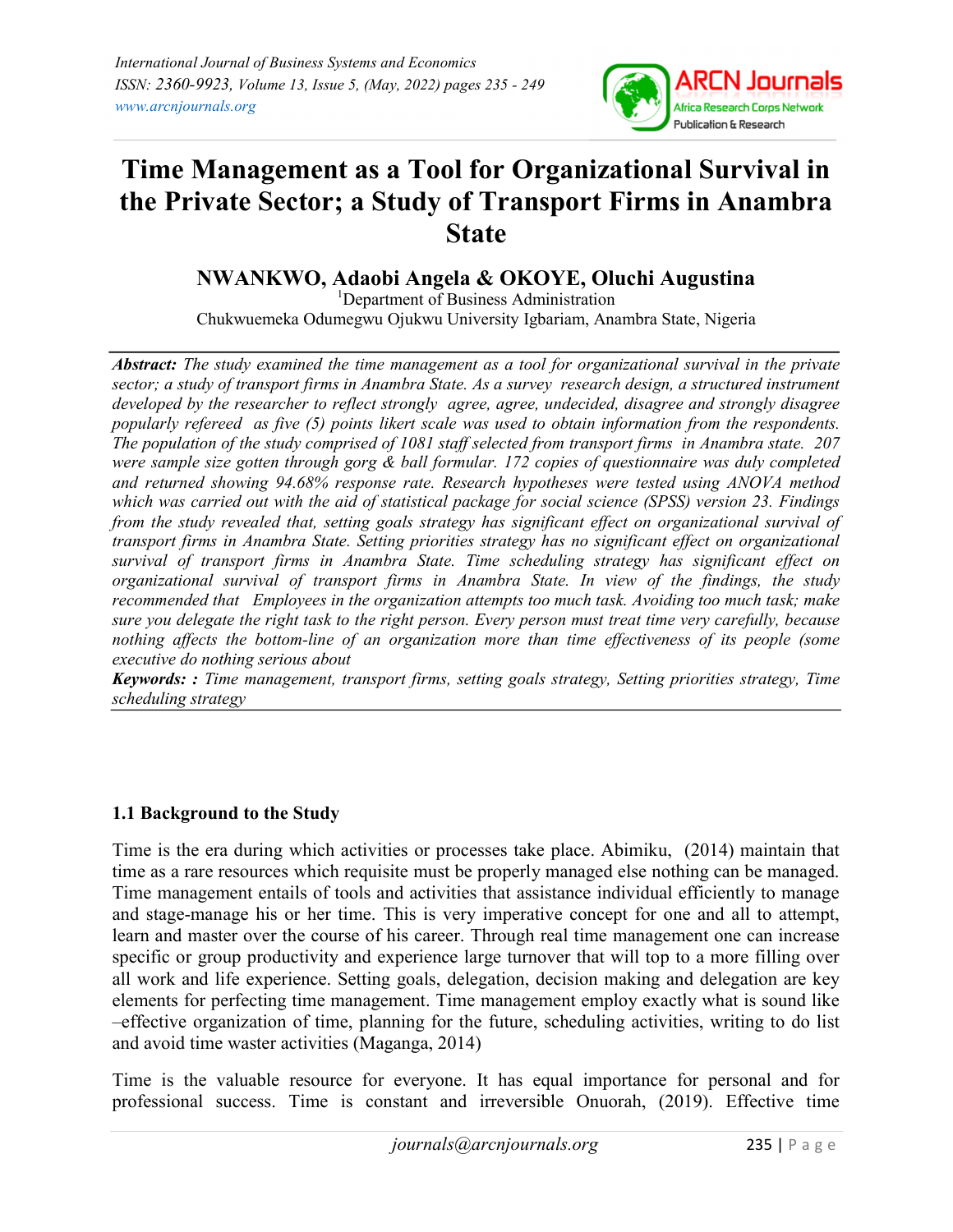

# Time Management as a Tool for Organizational Survival in the Private Sector; a Study of Transport Firms in Anambra State

# NWANKWO, Adaobi Angela & OKOYE, Oluchi Augustina

<sup>1</sup>Department of Business Administration Chukwuemeka Odumegwu Ojukwu University Igbariam, Anambra State, Nigeria

Abstract: The study examined the time management as a tool for organizational survival in the private sector; a study of transport firms in Anambra State. As a survey research design, a structured instrument developed by the researcher to reflect strongly agree, agree, undecided, disagree and strongly disagree popularly refereed as five (5) points likert scale was used to obtain information from the respondents. The population of the study comprised of 1081 staff selected from transport firms in Anambra state. 207 were sample size gotten through gorg & ball formular. 172 copies of questionnaire was duly completed and returned showing 94.68% response rate. Research hypotheses were tested using ANOVA method which was carried out with the aid of statistical package for social science (SPSS) version 23. Findings from the study revealed that, setting goals strategy has significant effect on organizational survival of transport firms in Anambra State. Setting priorities strategy has no significant effect on organizational survival of transport firms in Anambra State. Time scheduling strategy has significant effect on organizational survival of transport firms in Anambra State. In view of the findings, the study recommended that Employees in the organization attempts too much task. Avoiding too much task; make sure you delegate the right task to the right person. Every person must treat time very carefully, because nothing affects the bottom-line of an organization more than time effectiveness of its people (some executive do nothing serious about

Keywords: : Time management, transport firms, setting goals strategy, Setting priorities strategy, Time scheduling strategy

# 1.1 Background to the Study

Time is the era during which activities or processes take place. Abimiku, (2014) maintain that time as a rare resources which requisite must be properly managed else nothing can be managed. Time management entails of tools and activities that assistance individual efficiently to manage and stage-manage his or her time. This is very imperative concept for one and all to attempt, learn and master over the course of his career. Through real time management one can increase specific or group productivity and experience large turnover that will top to a more filling over all work and life experience. Setting goals, delegation, decision making and delegation are key elements for perfecting time management. Time management employ exactly what is sound like –effective organization of time, planning for the future, scheduling activities, writing to do list and avoid time waster activities (Maganga, 2014)

Time is the valuable resource for everyone. It has equal importance for personal and for professional success. Time is constant and irreversible Onuorah, (2019). Effective time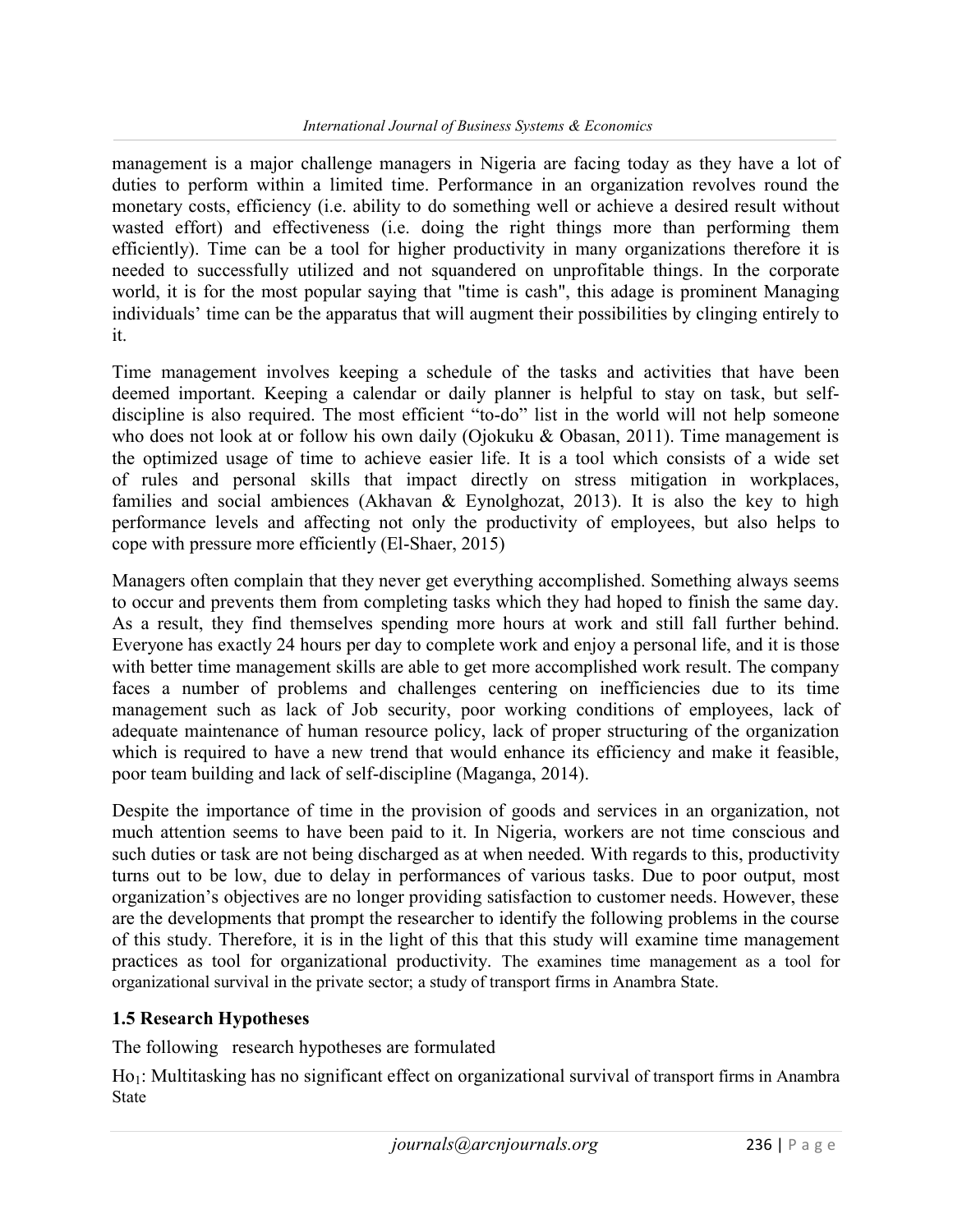management is a major challenge managers in Nigeria are facing today as they have a lot of duties to perform within a limited time. Performance in an organization revolves round the monetary costs, efficiency (i.e. ability to do something well or achieve a desired result without wasted effort) and effectiveness (i.e. doing the right things more than performing them efficiently). Time can be a tool for higher productivity in many organizations therefore it is needed to successfully utilized and not squandered on unprofitable things. In the corporate world, it is for the most popular saying that "time is cash", this adage is prominent Managing individuals' time can be the apparatus that will augment their possibilities by clinging entirely to it.

Time management involves keeping a schedule of the tasks and activities that have been deemed important. Keeping a calendar or daily planner is helpful to stay on task, but selfdiscipline is also required. The most efficient "to-do" list in the world will not help someone who does not look at or follow his own daily (Ojokuku & Obasan, 2011). Time management is the optimized usage of time to achieve easier life. It is a tool which consists of a wide set of rules and personal skills that impact directly on stress mitigation in workplaces, families and social ambiences (Akhavan & Eynolghozat, 2013). It is also the key to high performance levels and affecting not only the productivity of employees, but also helps to cope with pressure more efficiently (El-Shaer, 2015)

Managers often complain that they never get everything accomplished. Something always seems to occur and prevents them from completing tasks which they had hoped to finish the same day. As a result, they find themselves spending more hours at work and still fall further behind. Everyone has exactly 24 hours per day to complete work and enjoy a personal life, and it is those with better time management skills are able to get more accomplished work result. The company faces a number of problems and challenges centering on inefficiencies due to its time management such as lack of Job security, poor working conditions of employees, lack of adequate maintenance of human resource policy, lack of proper structuring of the organization which is required to have a new trend that would enhance its efficiency and make it feasible, poor team building and lack of self-discipline (Maganga, 2014).

Despite the importance of time in the provision of goods and services in an organization, not much attention seems to have been paid to it. In Nigeria, workers are not time conscious and such duties or task are not being discharged as at when needed. With regards to this, productivity turns out to be low, due to delay in performances of various tasks. Due to poor output, most organization's objectives are no longer providing satisfaction to customer needs. However, these are the developments that prompt the researcher to identify the following problems in the course of this study. Therefore, it is in the light of this that this study will examine time management practices as tool for organizational productivity. The examines time management as a tool for organizational survival in the private sector; a study of transport firms in Anambra State.

# 1.5 Research Hypotheses

The following research hypotheses are formulated

Ho<sub>1</sub>: Multitasking has no significant effect on organizational survival of transport firms in Anambra State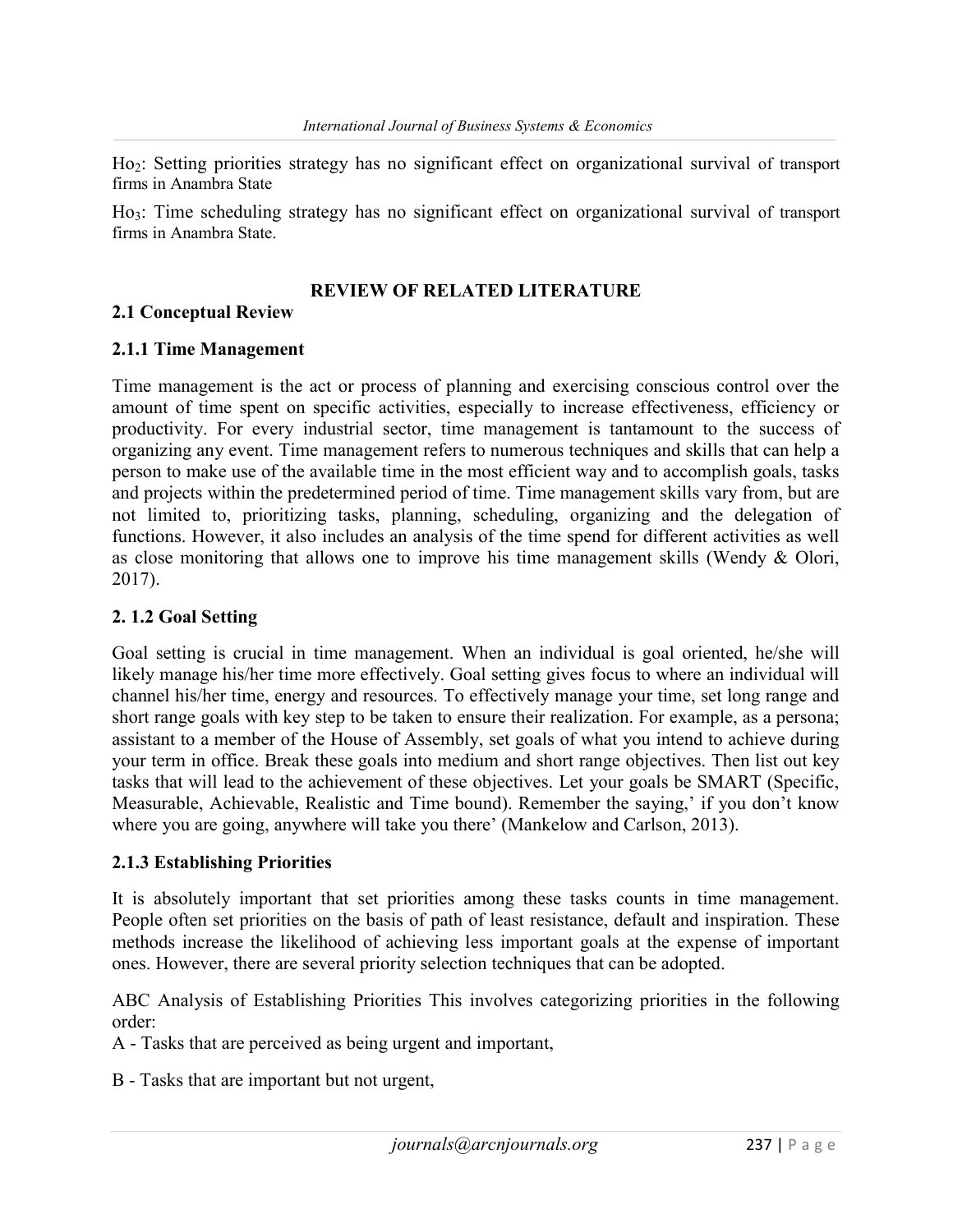Ho2: Setting priorities strategy has no significant effect on organizational survival of transport firms in Anambra State

Ho<sub>3</sub>: Time scheduling strategy has no significant effect on organizational survival of transport firms in Anambra State.

## REVIEW OF RELATED LITERATURE

## 2.1 Conceptual Review

## 2.1.1 Time Management

Time management is the act or process of planning and exercising conscious control over the amount of time spent on specific activities, especially to increase effectiveness, efficiency or productivity. For every industrial sector, time management is tantamount to the success of organizing any event. Time management refers to numerous techniques and skills that can help a person to make use of the available time in the most efficient way and to accomplish goals, tasks and projects within the predetermined period of time. Time management skills vary from, but are not limited to, prioritizing tasks, planning, scheduling, organizing and the delegation of functions. However, it also includes an analysis of the time spend for different activities as well as close monitoring that allows one to improve his time management skills (Wendy & Olori, 2017).

## 2. 1.2 Goal Setting

Goal setting is crucial in time management. When an individual is goal oriented, he/she will likely manage his/her time more effectively. Goal setting gives focus to where an individual will channel his/her time, energy and resources. To effectively manage your time, set long range and short range goals with key step to be taken to ensure their realization. For example, as a persona; assistant to a member of the House of Assembly, set goals of what you intend to achieve during your term in office. Break these goals into medium and short range objectives. Then list out key tasks that will lead to the achievement of these objectives. Let your goals be SMART (Specific, Measurable, Achievable, Realistic and Time bound). Remember the saying,' if you don't know where you are going, anywhere will take you there' (Mankelow and Carlson, 2013).

## 2.1.3 Establishing Priorities

It is absolutely important that set priorities among these tasks counts in time management. People often set priorities on the basis of path of least resistance, default and inspiration. These methods increase the likelihood of achieving less important goals at the expense of important ones. However, there are several priority selection techniques that can be adopted.

ABC Analysis of Establishing Priorities This involves categorizing priorities in the following order:

A - Tasks that are perceived as being urgent and important,

B - Tasks that are important but not urgent,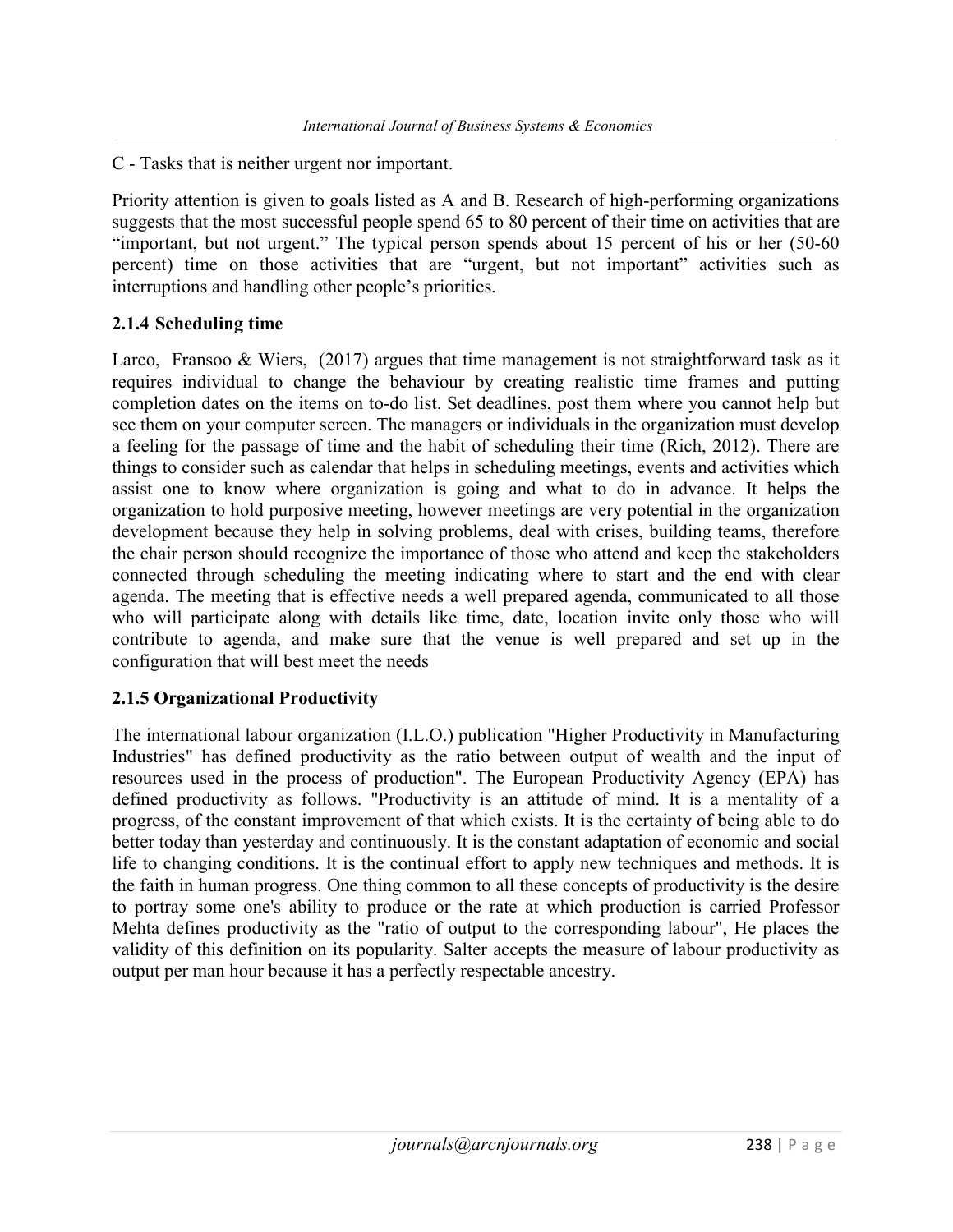C - Tasks that is neither urgent nor important.

Priority attention is given to goals listed as A and B. Research of high-performing organizations suggests that the most successful people spend 65 to 80 percent of their time on activities that are "important, but not urgent." The typical person spends about 15 percent of his or her (50-60 percent) time on those activities that are "urgent, but not important" activities such as interruptions and handling other people's priorities.

# 2.1.4 Scheduling time

Larco, Fransoo & Wiers,  $(2017)$  argues that time management is not straightforward task as it requires individual to change the behaviour by creating realistic time frames and putting completion dates on the items on to-do list. Set deadlines, post them where you cannot help but see them on your computer screen. The managers or individuals in the organization must develop a feeling for the passage of time and the habit of scheduling their time (Rich, 2012). There are things to consider such as calendar that helps in scheduling meetings, events and activities which assist one to know where organization is going and what to do in advance. It helps the organization to hold purposive meeting, however meetings are very potential in the organization development because they help in solving problems, deal with crises, building teams, therefore the chair person should recognize the importance of those who attend and keep the stakeholders connected through scheduling the meeting indicating where to start and the end with clear agenda. The meeting that is effective needs a well prepared agenda, communicated to all those who will participate along with details like time, date, location invite only those who will contribute to agenda, and make sure that the venue is well prepared and set up in the configuration that will best meet the needs

# 2.1.5 Organizational Productivity

The international labour organization (I.L.O.) publication "Higher Productivity in Manufacturing Industries" has defined productivity as the ratio between output of wealth and the input of resources used in the process of production". The European Productivity Agency (EPA) has defined productivity as follows. "Productivity is an attitude of mind. It is a mentality of a progress, of the constant improvement of that which exists. It is the certainty of being able to do better today than yesterday and continuously. It is the constant adaptation of economic and social life to changing conditions. It is the continual effort to apply new techniques and methods. It is the faith in human progress. One thing common to all these concepts of productivity is the desire to portray some one's ability to produce or the rate at which production is carried Professor Mehta defines productivity as the "ratio of output to the corresponding labour", He places the validity of this definition on its popularity. Salter accepts the measure of labour productivity as output per man hour because it has a perfectly respectable ancestry.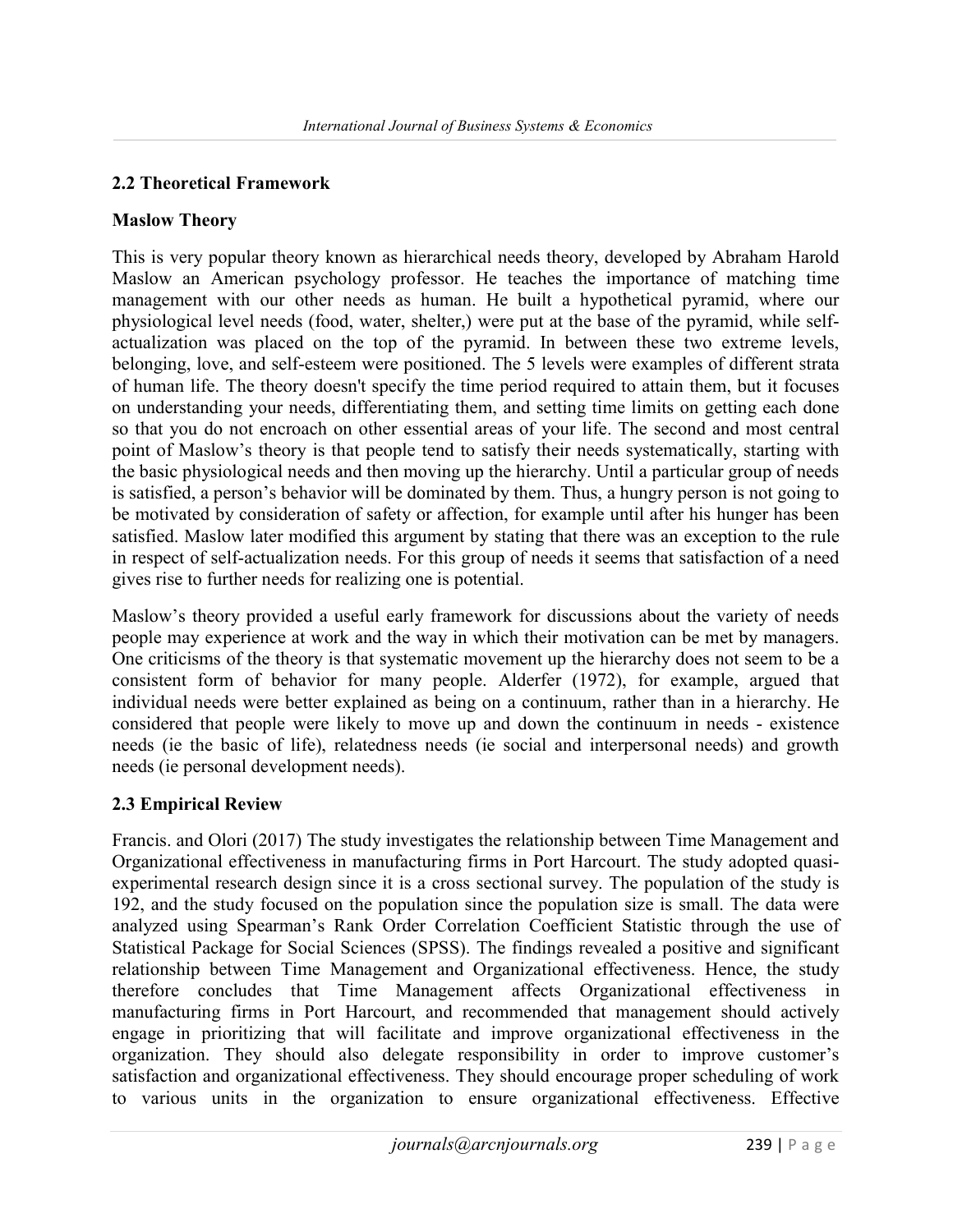# 2.2 Theoretical Framework

# Maslow Theory

This is very popular theory known as hierarchical needs theory, developed by Abraham Harold Maslow an American psychology professor. He teaches the importance of matching time management with our other needs as human. He built a hypothetical pyramid, where our physiological level needs (food, water, shelter,) were put at the base of the pyramid, while selfactualization was placed on the top of the pyramid. In between these two extreme levels, belonging, love, and self-esteem were positioned. The 5 levels were examples of different strata of human life. The theory doesn't specify the time period required to attain them, but it focuses on understanding your needs, differentiating them, and setting time limits on getting each done so that you do not encroach on other essential areas of your life. The second and most central point of Maslow's theory is that people tend to satisfy their needs systematically, starting with the basic physiological needs and then moving up the hierarchy. Until a particular group of needs is satisfied, a person's behavior will be dominated by them. Thus, a hungry person is not going to be motivated by consideration of safety or affection, for example until after his hunger has been satisfied. Maslow later modified this argument by stating that there was an exception to the rule in respect of self-actualization needs. For this group of needs it seems that satisfaction of a need gives rise to further needs for realizing one is potential.

Maslow's theory provided a useful early framework for discussions about the variety of needs people may experience at work and the way in which their motivation can be met by managers. One criticisms of the theory is that systematic movement up the hierarchy does not seem to be a consistent form of behavior for many people. Alderfer (1972), for example, argued that individual needs were better explained as being on a continuum, rather than in a hierarchy. He considered that people were likely to move up and down the continuum in needs - existence needs (ie the basic of life), relatedness needs (ie social and interpersonal needs) and growth needs (ie personal development needs).

# 2.3 Empirical Review

Francis. and Olori (2017) The study investigates the relationship between Time Management and Organizational effectiveness in manufacturing firms in Port Harcourt. The study adopted quasiexperimental research design since it is a cross sectional survey. The population of the study is 192, and the study focused on the population since the population size is small. The data were analyzed using Spearman's Rank Order Correlation Coefficient Statistic through the use of Statistical Package for Social Sciences (SPSS). The findings revealed a positive and significant relationship between Time Management and Organizational effectiveness. Hence, the study therefore concludes that Time Management affects Organizational effectiveness in manufacturing firms in Port Harcourt, and recommended that management should actively engage in prioritizing that will facilitate and improve organizational effectiveness in the organization. They should also delegate responsibility in order to improve customer's satisfaction and organizational effectiveness. They should encourage proper scheduling of work to various units in the organization to ensure organizational effectiveness. Effective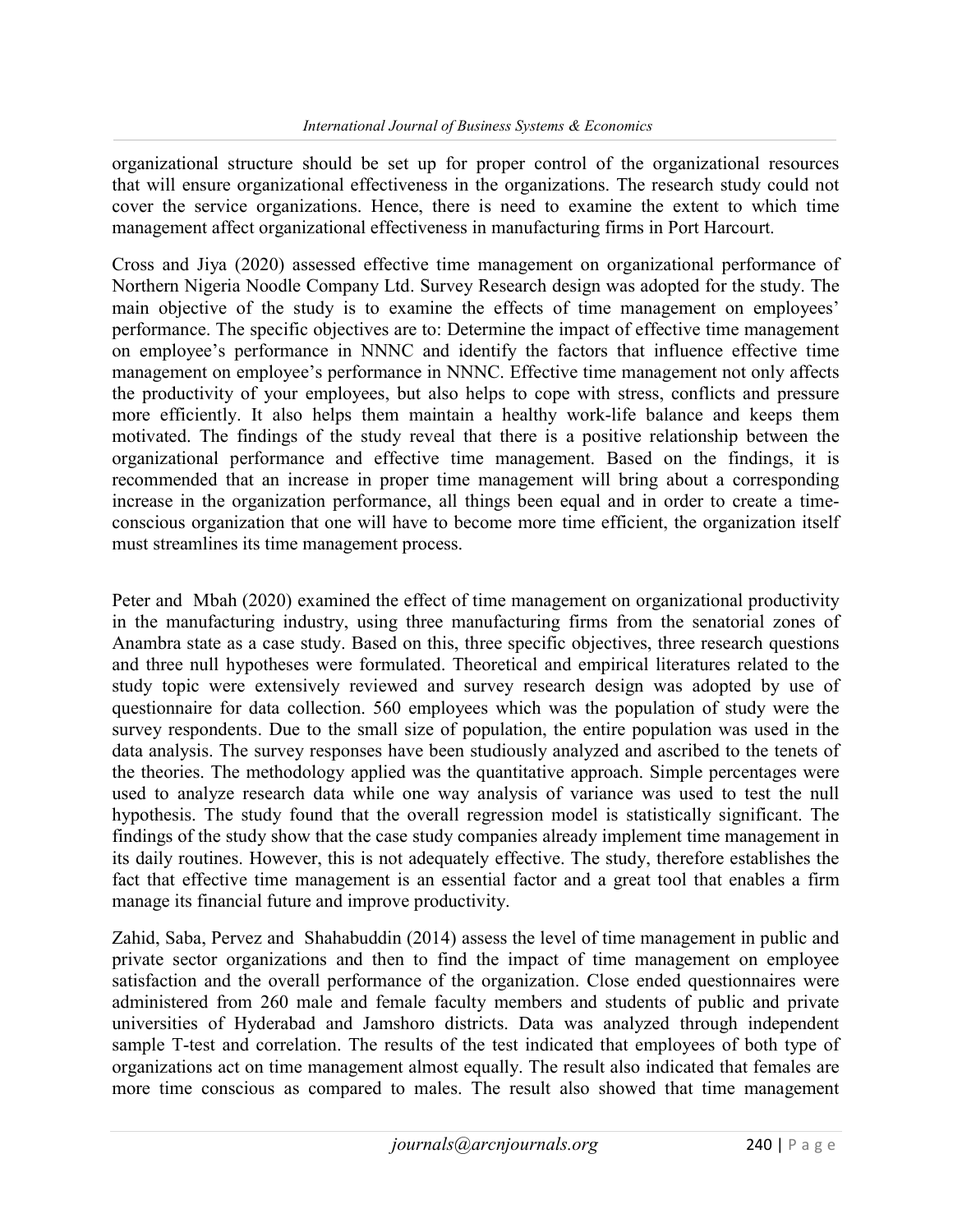organizational structure should be set up for proper control of the organizational resources that will ensure organizational effectiveness in the organizations. The research study could not cover the service organizations. Hence, there is need to examine the extent to which time management affect organizational effectiveness in manufacturing firms in Port Harcourt.

Cross and Jiya (2020) assessed effective time management on organizational performance of Northern Nigeria Noodle Company Ltd. Survey Research design was adopted for the study. The main objective of the study is to examine the effects of time management on employees' performance. The specific objectives are to: Determine the impact of effective time management on employee's performance in NNNC and identify the factors that influence effective time management on employee's performance in NNNC. Effective time management not only affects the productivity of your employees, but also helps to cope with stress, conflicts and pressure more efficiently. It also helps them maintain a healthy work-life balance and keeps them motivated. The findings of the study reveal that there is a positive relationship between the organizational performance and effective time management. Based on the findings, it is recommended that an increase in proper time management will bring about a corresponding increase in the organization performance, all things been equal and in order to create a timeconscious organization that one will have to become more time efficient, the organization itself must streamlines its time management process.

Peter and Mbah (2020) examined the effect of time management on organizational productivity in the manufacturing industry, using three manufacturing firms from the senatorial zones of Anambra state as a case study. Based on this, three specific objectives, three research questions and three null hypotheses were formulated. Theoretical and empirical literatures related to the study topic were extensively reviewed and survey research design was adopted by use of questionnaire for data collection. 560 employees which was the population of study were the survey respondents. Due to the small size of population, the entire population was used in the data analysis. The survey responses have been studiously analyzed and ascribed to the tenets of the theories. The methodology applied was the quantitative approach. Simple percentages were used to analyze research data while one way analysis of variance was used to test the null hypothesis. The study found that the overall regression model is statistically significant. The findings of the study show that the case study companies already implement time management in its daily routines. However, this is not adequately effective. The study, therefore establishes the fact that effective time management is an essential factor and a great tool that enables a firm manage its financial future and improve productivity.

Zahid, Saba, Pervez and Shahabuddin (2014) assess the level of time management in public and private sector organizations and then to find the impact of time management on employee satisfaction and the overall performance of the organization. Close ended questionnaires were administered from 260 male and female faculty members and students of public and private universities of Hyderabad and Jamshoro districts. Data was analyzed through independent sample T-test and correlation. The results of the test indicated that employees of both type of organizations act on time management almost equally. The result also indicated that females are more time conscious as compared to males. The result also showed that time management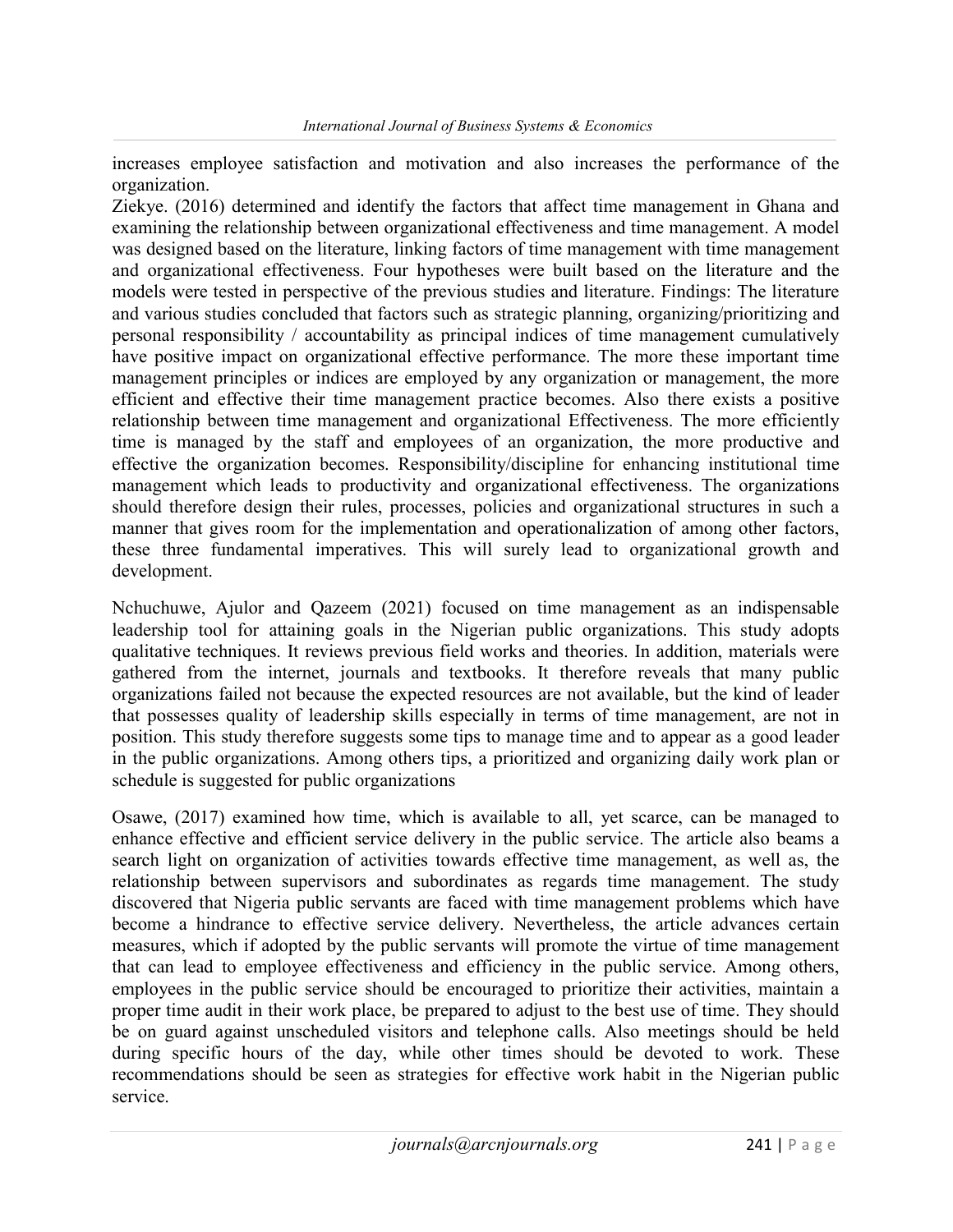increases employee satisfaction and motivation and also increases the performance of the organization.

Ziekye. (2016) determined and identify the factors that affect time management in Ghana and examining the relationship between organizational effectiveness and time management. A model was designed based on the literature, linking factors of time management with time management and organizational effectiveness. Four hypotheses were built based on the literature and the models were tested in perspective of the previous studies and literature. Findings: The literature and various studies concluded that factors such as strategic planning, organizing/prioritizing and personal responsibility / accountability as principal indices of time management cumulatively have positive impact on organizational effective performance. The more these important time management principles or indices are employed by any organization or management, the more efficient and effective their time management practice becomes. Also there exists a positive relationship between time management and organizational Effectiveness. The more efficiently time is managed by the staff and employees of an organization, the more productive and effective the organization becomes. Responsibility/discipline for enhancing institutional time management which leads to productivity and organizational effectiveness. The organizations should therefore design their rules, processes, policies and organizational structures in such a manner that gives room for the implementation and operationalization of among other factors, these three fundamental imperatives. This will surely lead to organizational growth and development.

Nchuchuwe, Ajulor and Qazeem (2021) focused on time management as an indispensable leadership tool for attaining goals in the Nigerian public organizations. This study adopts qualitative techniques. It reviews previous field works and theories. In addition, materials were gathered from the internet, journals and textbooks. It therefore reveals that many public organizations failed not because the expected resources are not available, but the kind of leader that possesses quality of leadership skills especially in terms of time management, are not in position. This study therefore suggests some tips to manage time and to appear as a good leader in the public organizations. Among others tips, a prioritized and organizing daily work plan or schedule is suggested for public organizations

Osawe, (2017) examined how time, which is available to all, yet scarce, can be managed to enhance effective and efficient service delivery in the public service. The article also beams a search light on organization of activities towards effective time management, as well as, the relationship between supervisors and subordinates as regards time management. The study discovered that Nigeria public servants are faced with time management problems which have become a hindrance to effective service delivery. Nevertheless, the article advances certain measures, which if adopted by the public servants will promote the virtue of time management that can lead to employee effectiveness and efficiency in the public service. Among others, employees in the public service should be encouraged to prioritize their activities, maintain a proper time audit in their work place, be prepared to adjust to the best use of time. They should be on guard against unscheduled visitors and telephone calls. Also meetings should be held during specific hours of the day, while other times should be devoted to work. These recommendations should be seen as strategies for effective work habit in the Nigerian public service.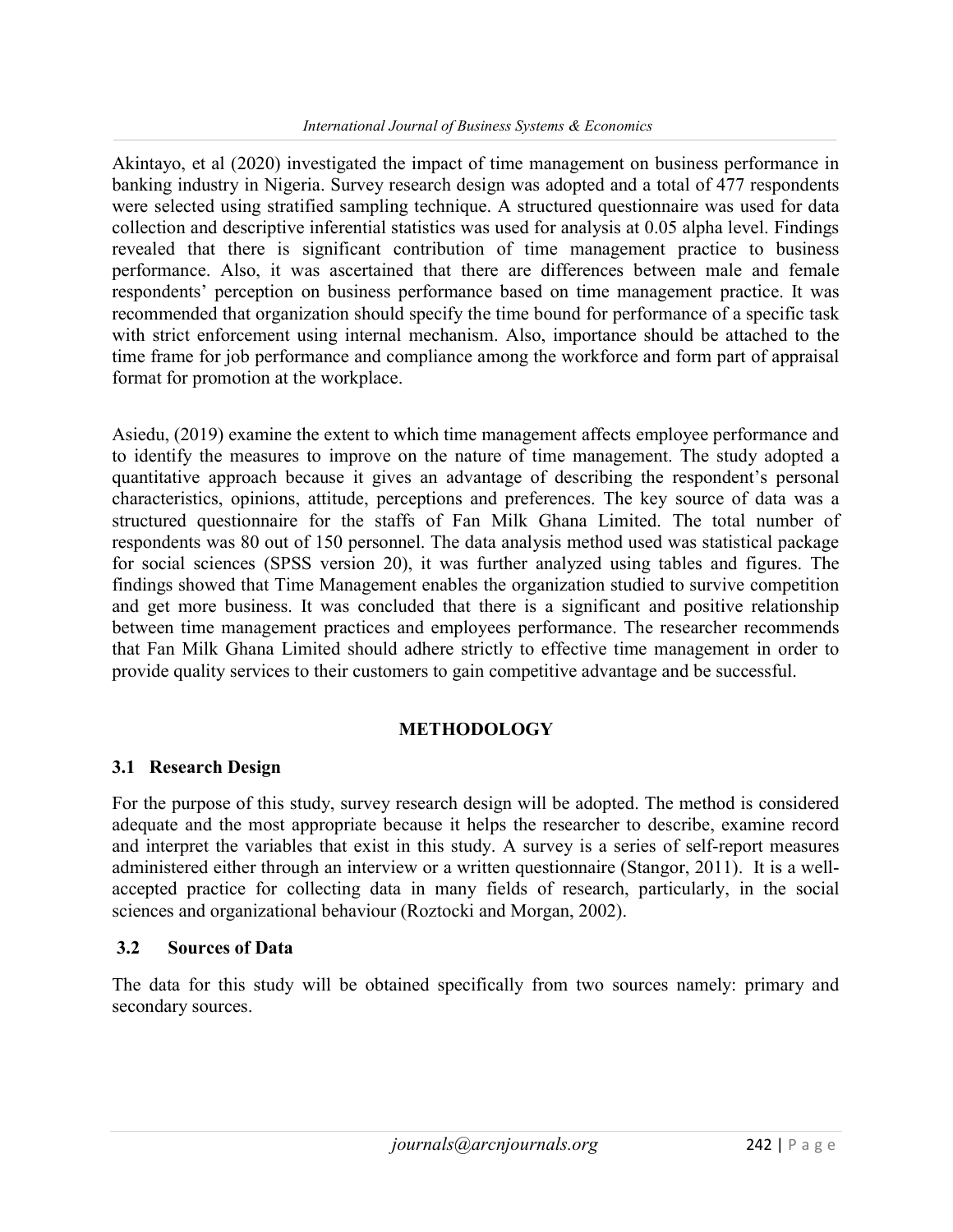Akintayo, et al (2020) investigated the impact of time management on business performance in banking industry in Nigeria. Survey research design was adopted and a total of 477 respondents were selected using stratified sampling technique. A structured questionnaire was used for data collection and descriptive inferential statistics was used for analysis at 0.05 alpha level. Findings revealed that there is significant contribution of time management practice to business performance. Also, it was ascertained that there are differences between male and female respondents' perception on business performance based on time management practice. It was recommended that organization should specify the time bound for performance of a specific task with strict enforcement using internal mechanism. Also, importance should be attached to the time frame for job performance and compliance among the workforce and form part of appraisal format for promotion at the workplace.

Asiedu, (2019) examine the extent to which time management affects employee performance and to identify the measures to improve on the nature of time management. The study adopted a quantitative approach because it gives an advantage of describing the respondent's personal characteristics, opinions, attitude, perceptions and preferences. The key source of data was a structured questionnaire for the staffs of Fan Milk Ghana Limited. The total number of respondents was 80 out of 150 personnel. The data analysis method used was statistical package for social sciences (SPSS version 20), it was further analyzed using tables and figures. The findings showed that Time Management enables the organization studied to survive competition and get more business. It was concluded that there is a significant and positive relationship between time management practices and employees performance. The researcher recommends that Fan Milk Ghana Limited should adhere strictly to effective time management in order to provide quality services to their customers to gain competitive advantage and be successful.

## METHODOLOGY

## 3.1 Research Design

For the purpose of this study, survey research design will be adopted. The method is considered adequate and the most appropriate because it helps the researcher to describe, examine record and interpret the variables that exist in this study. A survey is a series of self-report measures administered either through an interview or a written questionnaire (Stangor, 2011). It is a wellaccepted practice for collecting data in many fields of research, particularly, in the social sciences and organizational behaviour (Roztocki and Morgan, 2002).

## 3.2 Sources of Data

The data for this study will be obtained specifically from two sources namely: primary and secondary sources.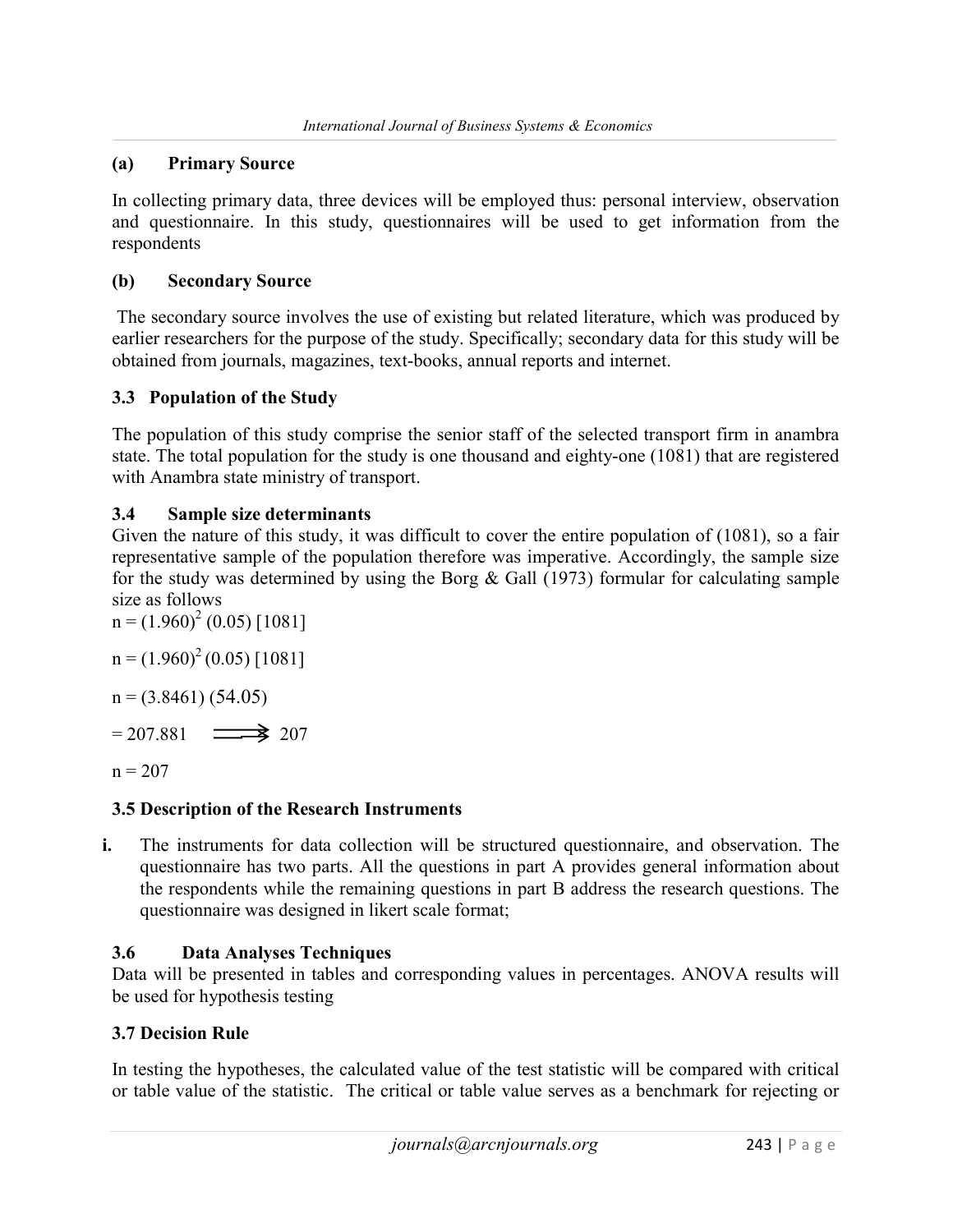# (a) Primary Source

In collecting primary data, three devices will be employed thus: personal interview, observation and questionnaire. In this study, questionnaires will be used to get information from the respondents

# (b) Secondary Source

 The secondary source involves the use of existing but related literature, which was produced by earlier researchers for the purpose of the study. Specifically; secondary data for this study will be obtained from journals, magazines, text-books, annual reports and internet.

# 3.3 Population of the Study

The population of this study comprise the senior staff of the selected transport firm in anambra state. The total population for the study is one thousand and eighty-one (1081) that are registered with Anambra state ministry of transport.

## 3.4 Sample size determinants

Given the nature of this study, it was difficult to cover the entire population of (1081), so a fair representative sample of the population therefore was imperative. Accordingly, the sample size for the study was determined by using the Borg  $& Gall (1973)$  formular for calculating sample size as follows

 $n = (1.960)^2 (0.05) [1081]$  $n = (1.960)^2(0.05)$  [1081]  $n = (3.8461) (54.05)$  $= 207.881$   $\longrightarrow$  207

 $n = 207$ 

# 3.5 Description of the Research Instruments

i. The instruments for data collection will be structured questionnaire, and observation. The questionnaire has two parts. All the questions in part A provides general information about the respondents while the remaining questions in part B address the research questions. The questionnaire was designed in likert scale format;

# 3.6 Data Analyses Techniques

Data will be presented in tables and corresponding values in percentages. ANOVA results will be used for hypothesis testing

# 3.7 Decision Rule

In testing the hypotheses, the calculated value of the test statistic will be compared with critical or table value of the statistic. The critical or table value serves as a benchmark for rejecting or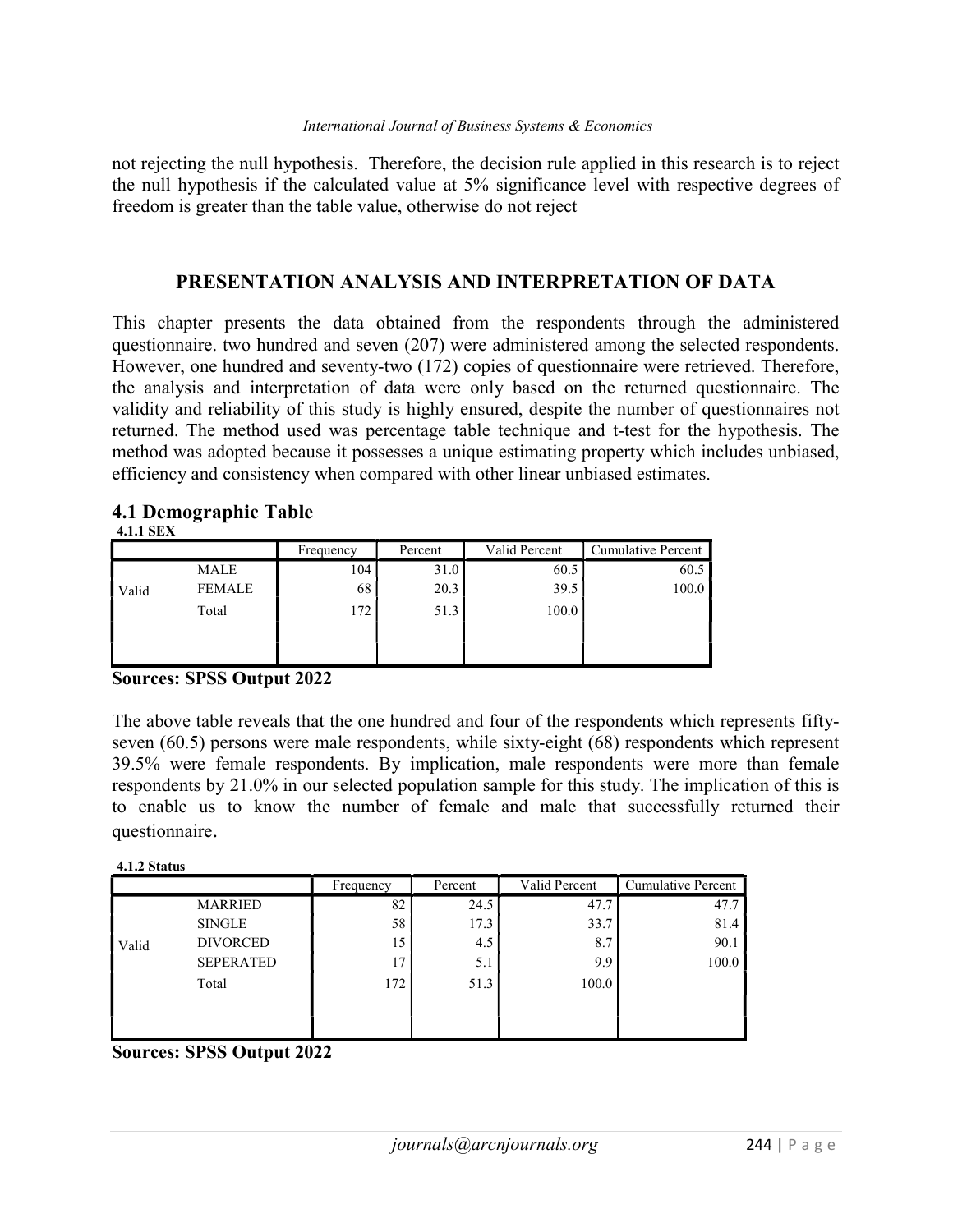not rejecting the null hypothesis. Therefore, the decision rule applied in this research is to reject the null hypothesis if the calculated value at 5% significance level with respective degrees of freedom is greater than the table value, otherwise do not reject

# PRESENTATION ANALYSIS AND INTERPRETATION OF DATA

This chapter presents the data obtained from the respondents through the administered questionnaire. two hundred and seven (207) were administered among the selected respondents. However, one hundred and seventy-two (172) copies of questionnaire were retrieved. Therefore, the analysis and interpretation of data were only based on the returned questionnaire. The validity and reliability of this study is highly ensured, despite the number of questionnaires not returned. The method used was percentage table technique and t-test for the hypothesis. The method was adopted because it possesses a unique estimating property which includes unbiased, efficiency and consistency when compared with other linear unbiased estimates.

#### 4.1 Demographic Table 4.1.1 SEX

|       |               | Frequency | Percent | Valid Percent | <b>Cumulative Percent</b> |
|-------|---------------|-----------|---------|---------------|---------------------------|
|       | MALE          | 104       | 31.0    | 60.5          | 60.5                      |
| Valid | <b>FEMALE</b> | 68        | 20.3    | 39.5          | 100.0                     |
|       | Total         | 172       | 51.3    | 100.0         |                           |
|       |               |           |         |               |                           |
|       |               |           |         |               |                           |

## Sources: SPSS Output 2022

The above table reveals that the one hundred and four of the respondents which represents fiftyseven (60.5) persons were male respondents, while sixty-eight (68) respondents which represent 39.5% were female respondents. By implication, male respondents were more than female respondents by 21.0% in our selected population sample for this study. The implication of this is to enable us to know the number of female and male that successfully returned their questionnaire.

| 4.1.2 Status |
|--------------|
|              |

|       |                  | Frequency | Percent | Valid Percent | <b>Cumulative Percent</b> |
|-------|------------------|-----------|---------|---------------|---------------------------|
|       | <b>MARRIED</b>   | 82        | 24.5    | 47.7          | 47.7                      |
|       | <b>SINGLE</b>    | 58        | 17.3    | 33.7          | 81.4                      |
| Valid | <b>DIVORCED</b>  | 15        | 4.5     | 8.7           | 90.1                      |
|       | <b>SEPERATED</b> | 17        | 5.1     | 9.9           | 100.0                     |
|       | Total            | 172       | 51.3    | 100.0         |                           |
|       |                  |           |         |               |                           |
|       |                  |           |         |               |                           |

Sources: SPSS Output 2022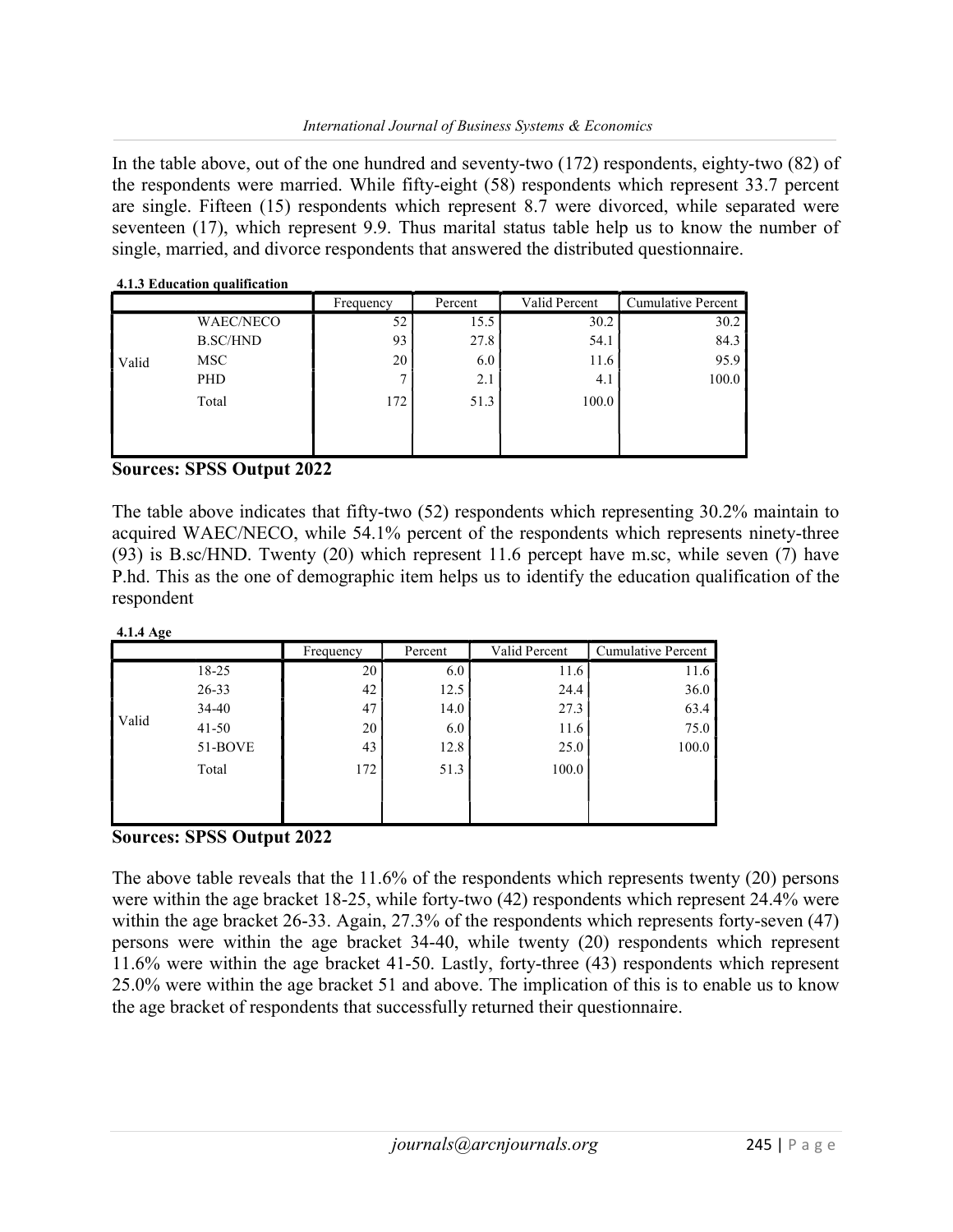In the table above, out of the one hundred and seventy-two (172) respondents, eighty-two (82) of the respondents were married. While fifty-eight (58) respondents which represent 33.7 percent are single. Fifteen (15) respondents which represent 8.7 were divorced, while separated were seventeen (17), which represent 9.9. Thus marital status table help us to know the number of single, married, and divorce respondents that answered the distributed questionnaire.

|       | $7.1.3$ Equivalibri quantication |           |         |               |                           |
|-------|----------------------------------|-----------|---------|---------------|---------------------------|
|       |                                  | Frequency | Percent | Valid Percent | <b>Cumulative Percent</b> |
|       | <b>WAEC/NECO</b>                 | 52        | 15.5    | 30.2          | 30.2                      |
|       | <b>B.SC/HND</b>                  | 93        | 27.8    | 54.1          | 84.3                      |
| Valid | MSC                              | 20        | 6.0     | 11.6          | 95.9                      |
|       | PHD                              | 7         | 2.1     | 4.1           | 100.0                     |
|       | Total                            | 172       | 51.3    | 100.0         |                           |
|       |                                  |           |         |               |                           |
|       |                                  |           |         |               |                           |

Sources: SPSS Output 2022

4.1.3 Education qualification

The table above indicates that fifty-two (52) respondents which representing 30.2% maintain to acquired WAEC/NECO, while 54.1% percent of the respondents which represents ninety-three (93) is B.sc/HND. Twenty (20) which represent 11.6 percept have m.sc, while seven (7) have P.hd. This as the one of demographic item helps us to identify the education qualification of the respondent

4.1.4 Age

|       |           | Frequency | Percent | Valid Percent | <b>Cumulative Percent</b> |
|-------|-----------|-----------|---------|---------------|---------------------------|
|       | 18-25     | 20        | 6.0     | 11.6          | 11.6                      |
|       | 26-33     | 42        | 12.5    | 24.4          | 36.0                      |
|       | 34-40     | 47        | 14.0    | 27.3          | 63.4                      |
| Valid | $41 - 50$ | 20        | 6.0     | 11.6          | 75.0                      |
|       | 51-BOVE   | 43        | 12.8    | 25.0          | 100.0                     |
|       | Total     | 172       | 51.3    | 100.0         |                           |
|       |           |           |         |               |                           |

Sources: SPSS Output 2022

The above table reveals that the 11.6% of the respondents which represents twenty (20) persons were within the age bracket 18-25, while forty-two (42) respondents which represent 24.4% were within the age bracket 26-33. Again, 27.3% of the respondents which represents forty-seven (47) persons were within the age bracket 34-40, while twenty (20) respondents which represent 11.6% were within the age bracket 41-50. Lastly, forty-three (43) respondents which represent 25.0% were within the age bracket 51 and above. The implication of this is to enable us to know the age bracket of respondents that successfully returned their questionnaire.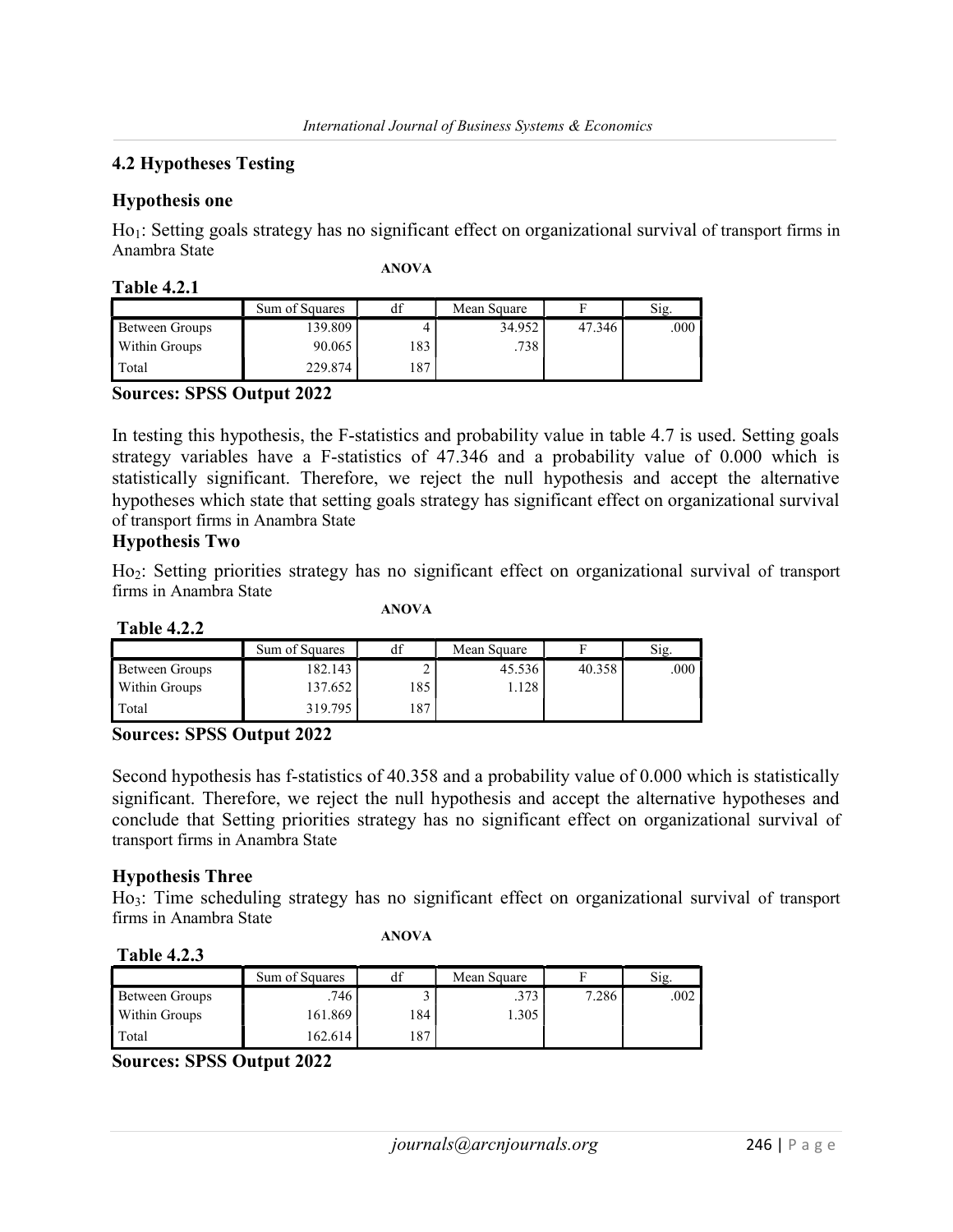# 4.2 Hypotheses Testing

## Hypothesis one

Ho<sub>1</sub>: Setting goals strategy has no significant effect on organizational survival of transport firms in Anambra State

ANOVA

|                | Sum of Squares | df  | Mean Square |        | Sig. |
|----------------|----------------|-----|-------------|--------|------|
| Between Groups | 139.809        |     | 34.952      | 47.346 | .000 |
| Within Groups  | 90.065         | 183 | .738        |        |      |
| Total          | 229.874        | 187 |             |        |      |

## Sources: SPSS Output 2022

In testing this hypothesis, the F-statistics and probability value in table 4.7 is used. Setting goals strategy variables have a F-statistics of 47.346 and a probability value of 0.000 which is statistically significant. Therefore, we reject the null hypothesis and accept the alternative hypotheses which state that setting goals strategy has significant effect on organizational survival of transport firms in Anambra State

# Hypothesis Two

Ho2: Setting priorities strategy has no significant effect on organizational survival of transport firms in Anambra State

| <b>Table 4.2.2</b> |  |
|--------------------|--|
|--------------------|--|

ANOVA

|                | Sum of Squares | df  | Mean Square |        | Sig. |
|----------------|----------------|-----|-------------|--------|------|
| Between Groups | 182.143        |     | 45.536      | 40.358 | .000 |
| Within Groups  | 137.652        | 185 | 1.128       |        |      |
| Total          | 319.795        | .87 |             |        |      |

#### Sources: SPSS Output 2022

Second hypothesis has f-statistics of 40.358 and a probability value of 0.000 which is statistically significant. Therefore, we reject the null hypothesis and accept the alternative hypotheses and conclude that Setting priorities strategy has no significant effect on organizational survival of transport firms in Anambra State

## Hypothesis Three

Table  $4.2.3$ 

Ho3: Time scheduling strategy has no significant effect on organizational survival of transport firms in Anambra State

ANOVA

| $10010 - 11700$ |                |                           |             |       |      |  |  |  |  |
|-----------------|----------------|---------------------------|-------------|-------|------|--|--|--|--|
|                 | Sum of Squares | df                        | Mean Square |       | S12. |  |  |  |  |
| Between Groups  | .746           |                           | .373        | 7.286 | .002 |  |  |  |  |
| Within Groups   | 161.869        | 184                       | .305        |       |      |  |  |  |  |
| Total           | 162.614        | O <sub>7</sub><br>$\circ$ |             |       |      |  |  |  |  |

Sources: SPSS Output 2022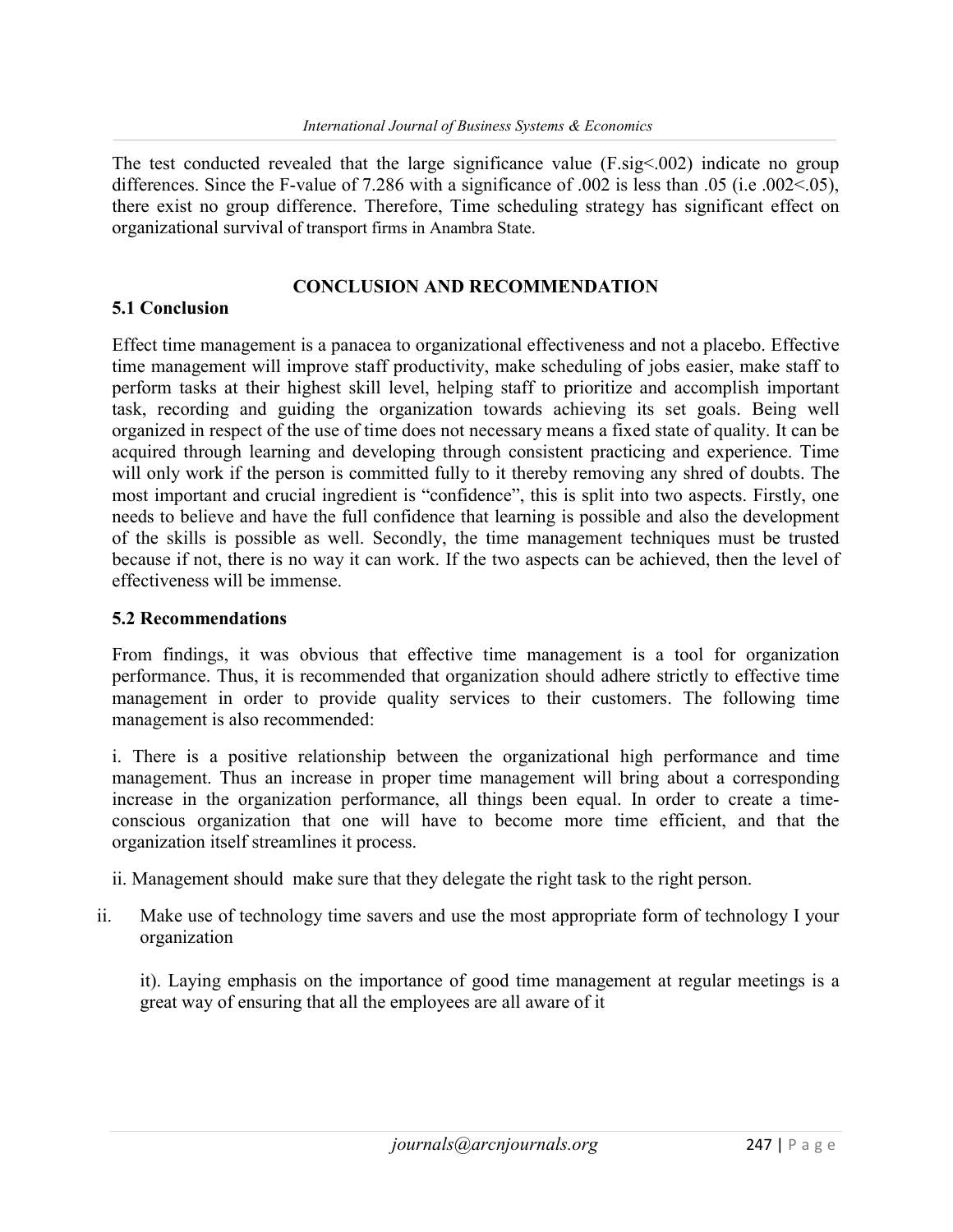The test conducted revealed that the large significance value (F.sig<.002) indicate no group differences. Since the F-value of 7.286 with a significance of .002 is less than .05 (i.e .002<.05), there exist no group difference. Therefore, Time scheduling strategy has significant effect on organizational survival of transport firms in Anambra State.

#### CONCLUSION AND RECOMMENDATION

## 5.1 Conclusion

Effect time management is a panacea to organizational effectiveness and not a placebo. Effective time management will improve staff productivity, make scheduling of jobs easier, make staff to perform tasks at their highest skill level, helping staff to prioritize and accomplish important task, recording and guiding the organization towards achieving its set goals. Being well organized in respect of the use of time does not necessary means a fixed state of quality. It can be acquired through learning and developing through consistent practicing and experience. Time will only work if the person is committed fully to it thereby removing any shred of doubts. The most important and crucial ingredient is "confidence", this is split into two aspects. Firstly, one needs to believe and have the full confidence that learning is possible and also the development of the skills is possible as well. Secondly, the time management techniques must be trusted because if not, there is no way it can work. If the two aspects can be achieved, then the level of effectiveness will be immense.

## 5.2 Recommendations

From findings, it was obvious that effective time management is a tool for organization performance. Thus, it is recommended that organization should adhere strictly to effective time management in order to provide quality services to their customers. The following time management is also recommended:

i. There is a positive relationship between the organizational high performance and time management. Thus an increase in proper time management will bring about a corresponding increase in the organization performance, all things been equal. In order to create a timeconscious organization that one will have to become more time efficient, and that the organization itself streamlines it process.

ii. Management should make sure that they delegate the right task to the right person.

ii. Make use of technology time savers and use the most appropriate form of technology I your organization

it). Laying emphasis on the importance of good time management at regular meetings is a great way of ensuring that all the employees are all aware of it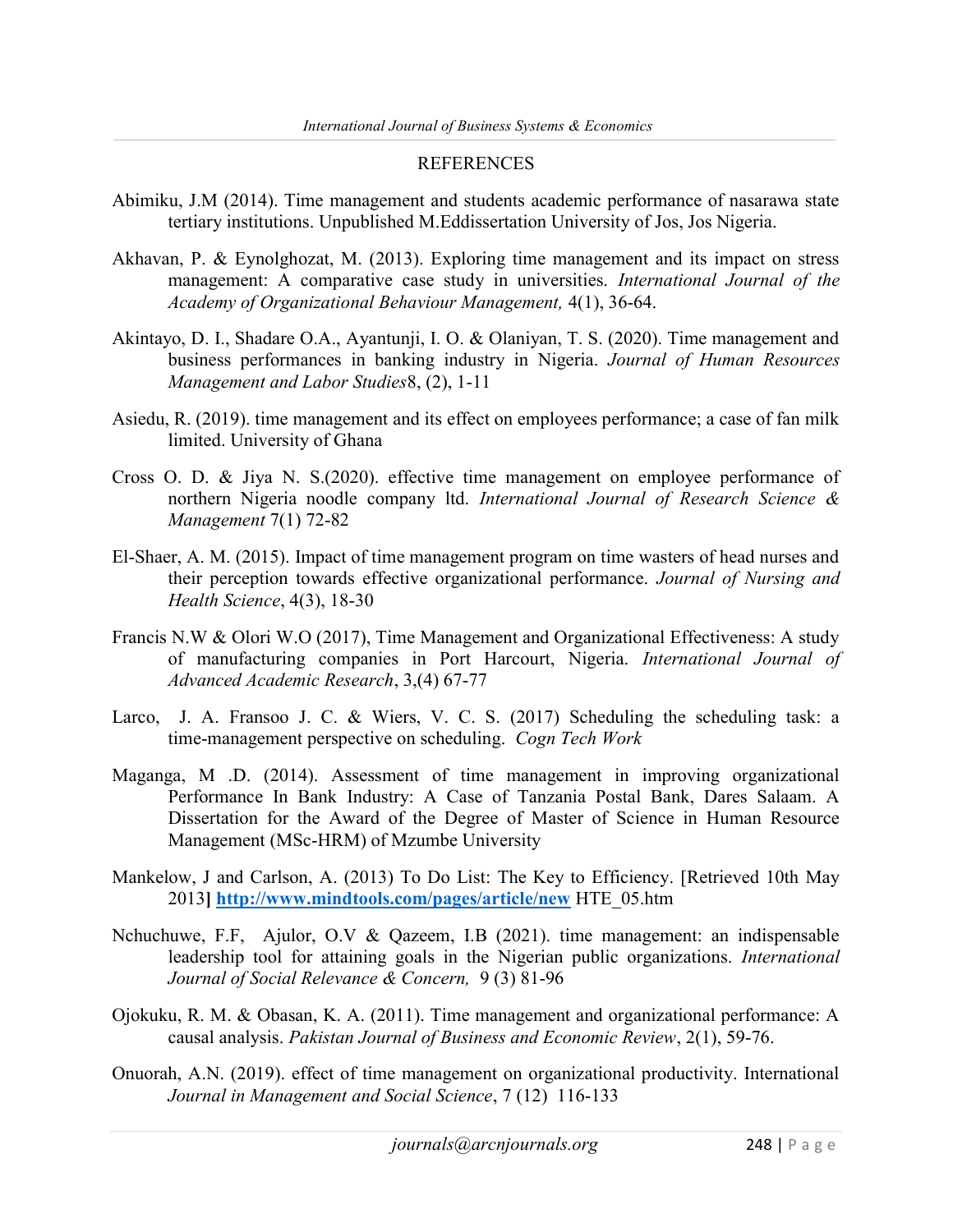## **REFERENCES**

- Abimiku, J.M (2014). Time management and students academic performance of nasarawa state tertiary institutions. Unpublished M.Eddissertation University of Jos, Jos Nigeria.
- Akhavan, P. & Eynolghozat, M. (2013). Exploring time management and its impact on stress management: A comparative case study in universities. International Journal of the Academy of Organizational Behaviour Management, 4(1), 36-64.
- Akintayo, D. I., Shadare O.A., Ayantunji, I. O. & Olaniyan, T. S. (2020). Time management and business performances in banking industry in Nigeria. Journal of Human Resources Management and Labor Studies 8, (2), 1-11
- Asiedu, R. (2019). time management and its effect on employees performance; a case of fan milk limited. University of Ghana
- Cross O. D. & Jiya N. S.(2020). effective time management on employee performance of northern Nigeria noodle company ltd. International Journal of Research Science & Management 7(1) 72-82
- El-Shaer, A. M. (2015). Impact of time management program on time wasters of head nurses and their perception towards effective organizational performance. Journal of Nursing and Health Science, 4(3), 18-30
- Francis N.W & Olori W.O (2017), Time Management and Organizational Effectiveness: A study of manufacturing companies in Port Harcourt, Nigeria. International Journal of Advanced Academic Research, 3,(4) 67-77
- Larco, J. A. Fransoo J. C. & Wiers, V. C. S. (2017) Scheduling the scheduling task: a time-management perspective on scheduling. Cogn Tech Work
- Maganga, M .D. (2014). Assessment of time management in improving organizational Performance In Bank Industry: A Case of Tanzania Postal Bank, Dares Salaam. A Dissertation for the Award of the Degree of Master of Science in Human Resource Management (MSc-HRM) of Mzumbe University
- Mankelow, J and Carlson, A. (2013) To Do List: The Key to Efficiency. [Retrieved 10th May 2013] http://www.mindtools.com/pages/article/new HTE\_05.htm
- Nchuchuwe, F.F, Ajulor, O.V & Qazeem, I.B (2021). time management: an indispensable leadership tool for attaining goals in the Nigerian public organizations. International Journal of Social Relevance & Concern, 9 (3) 81-96
- Ojokuku, R. M. & Obasan, K. A. (2011). Time management and organizational performance: A causal analysis. Pakistan Journal of Business and Economic Review, 2(1), 59-76.
- Onuorah, A.N. (2019). effect of time management on organizational productivity. International Journal in Management and Social Science, 7 (12) 116-133